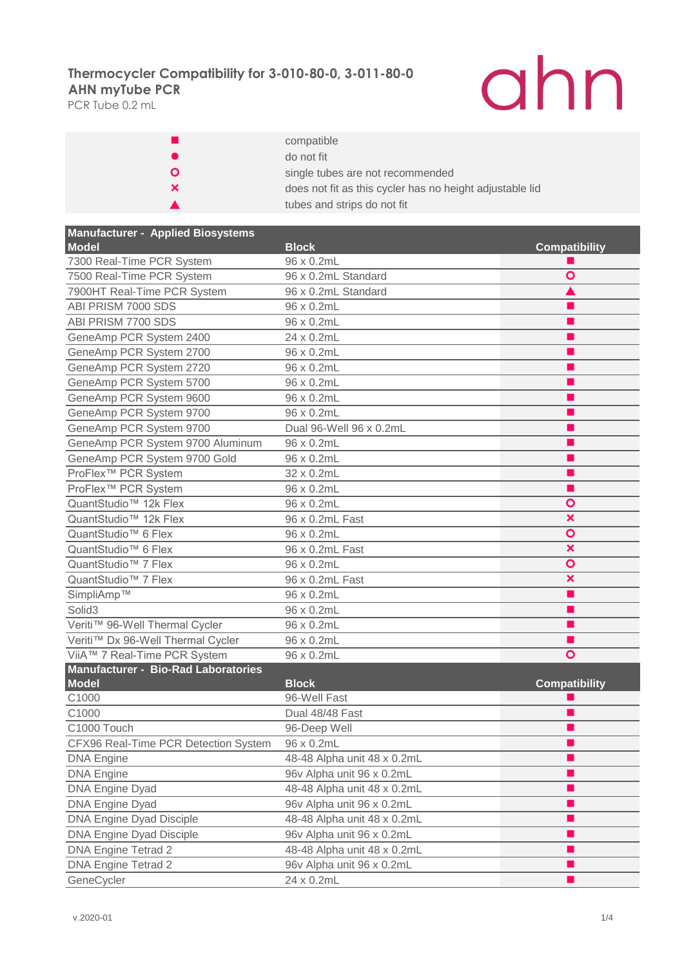PCR Tube 0.2 mL

# ahn

|              | compatible                                               |
|--------------|----------------------------------------------------------|
|              | do not fit                                               |
| $\mathbf{o}$ | single tubes are not recommended                         |
| ×            | does not fit as this cycler has no height adjustable lid |
|              | tubes and strips do not fit                              |

| <b>Manufacturer - Applied Biosystems</b> |                             |                           |
|------------------------------------------|-----------------------------|---------------------------|
| Model                                    | <b>Block</b>                | <b>Compatibility</b>      |
| 7300 Real-Time PCR System                | 96 x 0.2mL                  |                           |
| 7500 Real-Time PCR System                | 96 x 0.2mL Standard         | Ο                         |
| 7900HT Real-Time PCR System              | 96 x 0.2mL Standard         |                           |
| ABI PRISM 7000 SDS                       | 96 x 0.2mL                  |                           |
| ABI PRISM 7700 SDS                       | 96 x 0.2mL                  |                           |
| GeneAmp PCR System 2400                  | 24 x 0.2mL                  | . .                       |
| GeneAmp PCR System 2700                  | 96 x 0.2mL                  | п                         |
| GeneAmp PCR System 2720                  | 96 x 0.2mL                  | . .                       |
| GeneAmp PCR System 5700                  | 96 x 0.2mL                  | ш                         |
| GeneAmp PCR System 9600                  | 96 x 0.2mL                  |                           |
| GeneAmp PCR System 9700                  | 96 x 0.2mL                  |                           |
| GeneAmp PCR System 9700                  | Dual 96-Well 96 x 0.2mL     | . .                       |
| GeneAmp PCR System 9700 Aluminum         | 96 x 0.2mL                  | . .                       |
| GeneAmp PCR System 9700 Gold             | 96 x 0.2mL                  |                           |
| ProFlex <sup>™</sup> PCR System          | 32 x 0.2mL                  |                           |
| ProFlex <sup>™</sup> PCR System          | 96 x 0.2mL                  | . .                       |
| QuantStudio <sup>™</sup> 12k Flex        | 96 x 0.2mL                  | Ο                         |
| QuantStudio <sup>™</sup> 12k Flex        | 96 x 0.2mL Fast             | $\boldsymbol{\mathsf{x}}$ |
| QuantStudio <sup>™</sup> 6 Flex          | 96 x 0.2mL                  | $\bullet$                 |
| QuantStudio <sup>™</sup> 6 Flex          | 96 x 0.2mL Fast             | ×                         |
| QuantStudio <sup>™</sup> 7 Flex          | 96 x 0.2mL                  | $\bullet$                 |
| QuantStudio <sup>™</sup> 7 Flex          | 96 x 0.2mL Fast             | ×                         |
| SimpliAmp™                               | 96 x 0.2mL                  | . .                       |
| Solid <sub>3</sub>                       | 96 x 0.2mL                  |                           |
| Veriti™ 96-Well Thermal Cycler           | 96 x 0.2mL                  |                           |
| Veriti™ Dx 96-Well Thermal Cycler        | 96 x 0.2mL                  |                           |
| ViiA™ 7 Real-Time PCR System             | 96 x 0.2mL                  | O                         |
| Manufacturer - Bio-Rad Laboratories      |                             |                           |
| <b>Model</b>                             | <b>Block</b>                | <b>Compatibility</b>      |
| C1000                                    | 96-Well Fast                |                           |
| C1000                                    | Dual 48/48 Fast             |                           |
| C1000 Touch                              | 96-Deep Well                |                           |
| CFX96 Real-Time PCR Detection System     | 96 x 0.2mL                  |                           |
| <b>DNA Engine</b>                        | 48-48 Alpha unit 48 x 0.2mL |                           |
| <b>DNA Engine</b>                        | 96v Alpha unit 96 x 0.2mL   |                           |
| DNA Engine Dyad                          | 48-48 Alpha unit 48 x 0.2mL | . .                       |
| <b>DNA Engine Dyad</b>                   | 96v Alpha unit 96 x 0.2mL   |                           |
| <b>DNA Engine Dyad Disciple</b>          | 48-48 Alpha unit 48 x 0.2mL |                           |
| DNA Engine Dyad Disciple                 | 96v Alpha unit 96 x 0.2mL   |                           |
| DNA Engine Tetrad 2                      | 48-48 Alpha unit 48 x 0.2mL |                           |
| DNA Engine Tetrad 2                      | 96v Alpha unit 96 x 0.2mL   |                           |
| GeneCycler                               | 24 x 0.2mL                  |                           |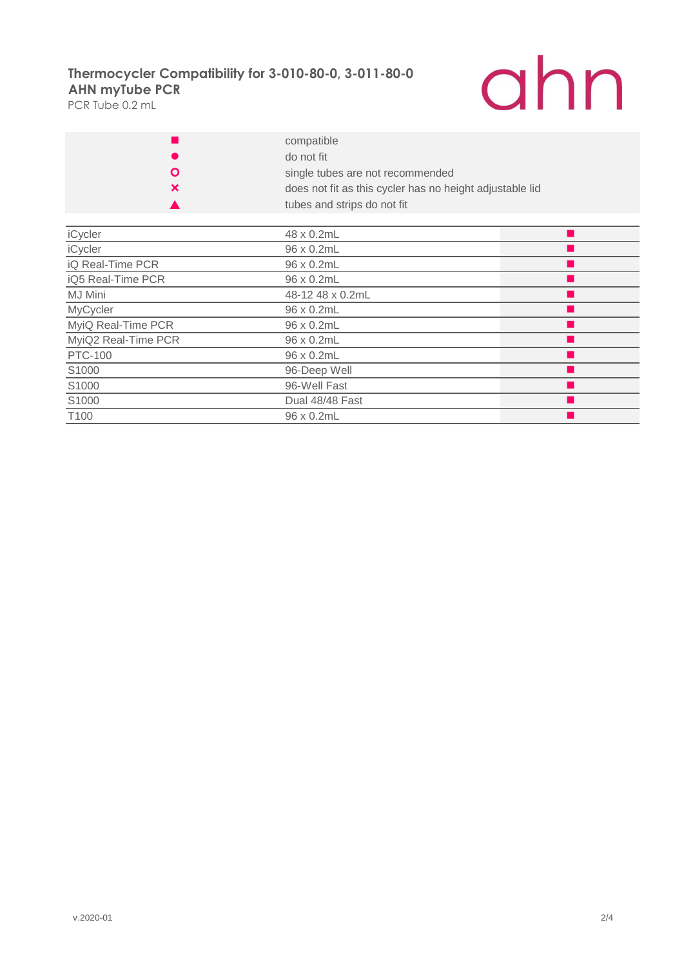PCR Tube 0.2 mL



|   | compatible                                               |
|---|----------------------------------------------------------|
|   | do not fit                                               |
| O | single tubes are not recommended                         |
| × | does not fit as this cycler has no height adjustable lid |
|   | tubes and strips do not fit                              |

| iCycler             | 48 x 0.2mL       |  |
|---------------------|------------------|--|
| iCycler             | 96 x 0.2mL       |  |
| iQ Real-Time PCR    | 96 x 0.2mL       |  |
| iQ5 Real-Time PCR   | 96 x 0.2mL       |  |
| <b>MJ Mini</b>      | 48-12 48 x 0.2mL |  |
| MyCycler            | 96 x 0.2mL       |  |
| MyiQ Real-Time PCR  | 96 x 0.2mL       |  |
| MyiQ2 Real-Time PCR | 96 x 0.2mL       |  |
| <b>PTC-100</b>      | 96 x 0.2mL       |  |
| S1000               | 96-Deep Well     |  |
| S1000               | 96-Well Fast     |  |
| S1000               | Dual 48/48 Fast  |  |
| T <sub>100</sub>    | 96 x 0.2mL       |  |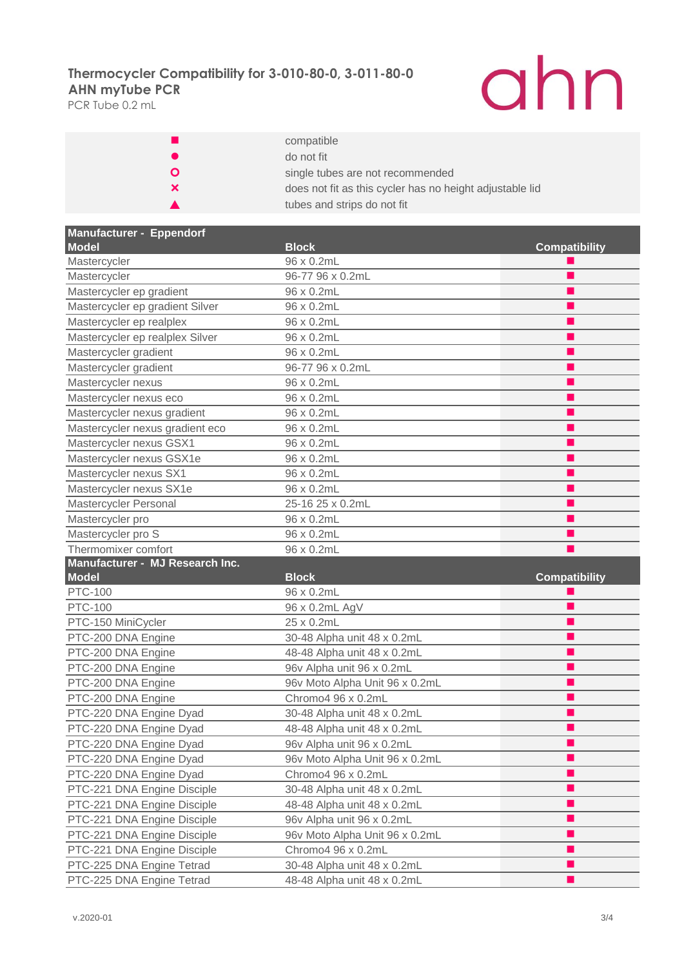PCR Tube 0.2 mL

# ahn

|    | compatible                                               |
|----|----------------------------------------------------------|
|    | do not fit                                               |
| O  | single tubes are not recommended                         |
| x. | does not fit as this cycler has no height adjustable lid |
|    | tubes and strips do not fit                              |

| Manufacturer - Eppendorf        |                                |                      |
|---------------------------------|--------------------------------|----------------------|
| Model                           | <b>Block</b>                   | <b>Compatibility</b> |
| Mastercycler                    | 96 x 0.2mL                     |                      |
| Mastercycler                    | 96-77 96 x 0.2mL               |                      |
| Mastercycler ep gradient        | 96 x 0.2mL                     |                      |
| Mastercycler ep gradient Silver | 96 x 0.2mL                     |                      |
| Mastercycler ep realplex        | 96 x 0.2mL                     |                      |
| Mastercycler ep realplex Silver | 96 x 0.2mL                     |                      |
| Mastercycler gradient           | 96 x 0.2mL                     |                      |
| Mastercycler gradient           | 96-77 96 x 0.2mL               |                      |
| Mastercycler nexus              | 96 x 0.2mL                     |                      |
| Mastercycler nexus eco          | 96 x 0.2mL                     |                      |
| Mastercycler nexus gradient     | 96 x 0.2mL                     |                      |
| Mastercycler nexus gradient eco | 96 x 0.2mL                     |                      |
| Mastercycler nexus GSX1         | 96 x 0.2mL                     |                      |
| Mastercycler nexus GSX1e        | 96 x 0.2mL                     |                      |
| Mastercycler nexus SX1          | 96 x 0.2mL                     |                      |
| Mastercycler nexus SX1e         | 96 x 0.2mL                     |                      |
| Mastercycler Personal           | 25-16 25 x 0.2mL               |                      |
| Mastercycler pro                | 96 x 0.2mL                     |                      |
| Mastercycler pro S              | 96 x 0.2mL                     |                      |
| Thermomixer comfort             | 96 x 0.2mL                     |                      |
| Manufacturer - MJ Research Inc. |                                |                      |
| <b>Model</b>                    | <b>Block</b>                   | <b>Compatibility</b> |
| <b>PTC-100</b>                  | 96 x 0.2mL                     |                      |
| <b>PTC-100</b>                  | 96 x 0.2mL AgV                 |                      |
| PTC-150 MiniCycler              | 25 x 0.2mL                     |                      |
| PTC-200 DNA Engine              | 30-48 Alpha unit 48 x 0.2mL    |                      |
| PTC-200 DNA Engine              | 48-48 Alpha unit 48 x 0.2mL    |                      |
| PTC-200 DNA Engine              | 96v Alpha unit 96 x 0.2mL      |                      |
| PTC-200 DNA Engine              | 96v Moto Alpha Unit 96 x 0.2mL |                      |
| PTC-200 DNA Engine              | Chromo4 96 x 0.2mL             |                      |
| PTC-220 DNA Engine Dyad         | 30-48 Alpha unit 48 x 0.2mL    |                      |
| PTC-220 DNA Engine Dyad         | 48-48 Alpha unit 48 x 0.2mL    |                      |
| PTC-220 DNA Engine Dyad         | 96v Alpha unit 96 x 0.2mL      |                      |
| PTC-220 DNA Engine Dyad         | 96v Moto Alpha Unit 96 x 0.2mL |                      |
| PTC-220 DNA Engine Dyad         | Chromo4 96 x 0.2mL             |                      |
| PTC-221 DNA Engine Disciple     | 30-48 Alpha unit 48 x 0.2mL    | ٠                    |
| PTC-221 DNA Engine Disciple     | 48-48 Alpha unit 48 x 0.2mL    |                      |
| PTC-221 DNA Engine Disciple     | 96v Alpha unit 96 x 0.2mL      |                      |
| PTC-221 DNA Engine Disciple     | 96v Moto Alpha Unit 96 x 0.2mL |                      |
| PTC-221 DNA Engine Disciple     | Chromo4 96 x 0.2mL             |                      |
| PTC-225 DNA Engine Tetrad       | 30-48 Alpha unit 48 x 0.2mL    |                      |
| PTC-225 DNA Engine Tetrad       | 48-48 Alpha unit 48 x 0.2mL    |                      |